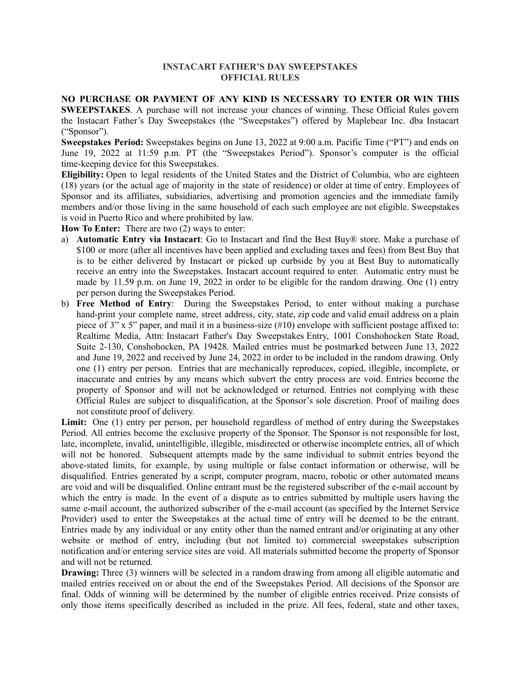## **INSTACART FATHER'S DAY SWEEPSTAKES OFFICIAL RULES**

**NO PURCHASE OR PAYMENT OF ANY KIND IS NECESSARY TO ENTER OR WIN THIS**

**SWEEPSTAKES**. A purchase will not increase your chances of winning. These Official Rules govern the Instacart Father's Day Sweepstakes (the "Sweepstakes") offered by Maplebear Inc. dba Instacart ("Sponsor").

**Sweepstakes Period:** Sweepstakes begins on June 13, 2022 at 9:00 a.m. Pacific Time ("PT") and ends on June 19, 2022 at 11:59 p.m. PT (the "Sweepstakes Period"). Sponsor's computer is the official time-keeping device for this Sweepstakes.

**Eligibility:** Open to legal residents of the United States and the District of Columbia, who are eighteen (18) years (or the actual age of majority in the state of residence) or older at time of entry. Employees of Sponsor and its affiliates, subsidiaries, advertising and promotion agencies and the immediate family members and/or those living in the same household of each such employee are not eligible. Sweepstakes is void in Puerto Rico and where prohibited by law.

**How To Enter:** There are two (2) ways to enter:

- a) **Automatic Entry via Instacart**: Go to Instacart and find the Best Buy® store. Make a purchase of \$100 or more (after all incentives have been applied and excluding taxes and fees) from Best Buy that is to be either delivered by Instacart or picked up curbside by you at Best Buy to automatically receive an entry into the Sweepstakes. Instacart account required to enter. Automatic entry must be made by 11.59 p.m. on June 19, 2022 in order to be eligible for the random drawing. One (1) entry per person during the Sweepstakes Period.
- b) **Free Method of Entry**: During the Sweepstakes Period, to enter without making a purchase hand-print your complete name, street address, city, state, zip code and valid email address on a plain piece of  $3''$  x  $5''$  paper, and mail it in a business-size (#10) envelope with sufficient postage affixed to: Realtime Media, Attn: Instacart Father's Day Sweepstakes Entry, 1001 Conshohocken State Road, Suite 2-130, Conshohocken, PA 19428. Mailed entries must be postmarked between June 13, 2022 and June 19, 2022 and received by June 24, 2022 in order to be included in the random drawing. Only one (1) entry per person. Entries that are mechanically reproduces, copied, illegible, incomplete, or inaccurate and entries by any means which subvert the entry process are void. Entries become the property of Sponsor and will not be acknowledged or returned. Entries not complying with these Official Rules are subject to disqualification, at the Sponsor's sole discretion. Proof of mailing does not constitute proof of delivery.

**Limit:** One (1) entry per person, per household regardless of method of entry during the Sweepstakes Period. All entries become the exclusive property of the Sponsor. The Sponsor is not responsible for lost, late, incomplete, invalid, unintelligible, illegible, misdirected or otherwise incomplete entries, all of which will not be honored. Subsequent attempts made by the same individual to submit entries beyond the above-stated limits, for example, by using multiple or false contact information or otherwise, will be disqualified. Entries generated by a script, computer program, macro, robotic or other automated means are void and will be disqualified. Online entrant must be the registered subscriber of the e-mail account by which the entry is made. In the event of a dispute as to entries submitted by multiple users having the same e-mail account, the authorized subscriber of the e-mail account (as specified by the Internet Service Provider) used to enter the Sweepstakes at the actual time of entry will be deemed to be the entrant. Entries made by any individual or any entity other than the named entrant and/or originating at any other website or method of entry, including (but not limited to) commercial sweepstakes subscription notification and/or entering service sites are void. All materials submitted become the property of Sponsor and will not be returned.

**Drawing:** Three (3) winners will be selected in a random drawing from among all eligible automatic and mailed entries received on or about the end of the Sweepstakes Period. All decisions of the Sponsor are final. Odds of winning will be determined by the number of eligible entries received. Prize consists of only those items specifically described as included in the prize. All fees, federal, state and other taxes,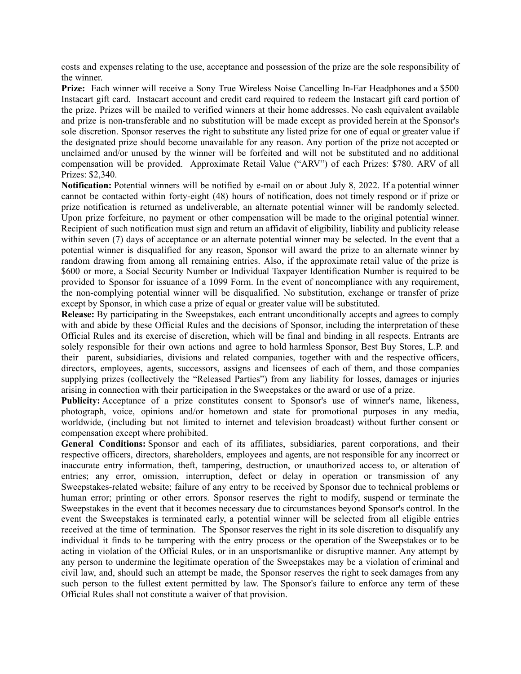costs and expenses relating to the use, acceptance and possession of the prize are the sole responsibility of the winner.

Prize: Each winner will receive a Sony True Wireless Noise Cancelling In-Ear Headphones and a \$500 Instacart gift card. Instacart account and credit card required to redeem the Instacart gift card portion of the prize. Prizes will be mailed to verified winners at their home addresses. No cash equivalent available and prize is non-transferable and no substitution will be made except as provided herein at the Sponsor's sole discretion. Sponsor reserves the right to substitute any listed prize for one of equal or greater value if the designated prize should become unavailable for any reason. Any portion of the prize not accepted or unclaimed and/or unused by the winner will be forfeited and will not be substituted and no additional compensation will be provided. Approximate Retail Value ("ARV") of each Prizes: \$780. ARV of all Prizes: \$2,340.

**Notification:** Potential winners will be notified by e-mail on or about July 8, 2022. If a potential winner cannot be contacted within forty-eight (48) hours of notification, does not timely respond or if prize or prize notification is returned as undeliverable, an alternate potential winner will be randomly selected. Upon prize forfeiture, no payment or other compensation will be made to the original potential winner. Recipient of such notification must sign and return an affidavit of eligibility, liability and publicity release within seven (7) days of acceptance or an alternate potential winner may be selected. In the event that a potential winner is disqualified for any reason, Sponsor will award the prize to an alternate winner by random drawing from among all remaining entries. Also, if the approximate retail value of the prize is \$600 or more, a Social Security Number or Individual Taxpayer Identification Number is required to be provided to Sponsor for issuance of a 1099 Form. In the event of noncompliance with any requirement, the non-complying potential winner will be disqualified. No substitution, exchange or transfer of prize except by Sponsor, in which case a prize of equal or greater value will be substituted.

**Release:** By participating in the Sweepstakes, each entrant unconditionally accepts and agrees to comply with and abide by these Official Rules and the decisions of Sponsor, including the interpretation of these Official Rules and its exercise of discretion, which will be final and binding in all respects. Entrants are solely responsible for their own actions and agree to hold harmless Sponsor, Best Buy Stores, L.P. and their parent, subsidiaries, divisions and related companies, together with and the respective officers, directors, employees, agents, successors, assigns and licensees of each of them, and those companies supplying prizes (collectively the "Released Parties") from any liability for losses, damages or injuries arising in connection with their participation in the Sweepstakes or the award or use of a prize.

**Publicity:** Acceptance of a prize constitutes consent to Sponsor's use of winner's name, likeness, photograph, voice, opinions and/or hometown and state for promotional purposes in any media, worldwide, (including but not limited to internet and television broadcast) without further consent or compensation except where prohibited.

**General Conditions:** Sponsor and each of its affiliates, subsidiaries, parent corporations, and their respective officers, directors, shareholders, employees and agents, are not responsible for any incorrect or inaccurate entry information, theft, tampering, destruction, or unauthorized access to, or alteration of entries; any error, omission, interruption, defect or delay in operation or transmission of any Sweepstakes-related website; failure of any entry to be received by Sponsor due to technical problems or human error; printing or other errors. Sponsor reserves the right to modify, suspend or terminate the Sweepstakes in the event that it becomes necessary due to circumstances beyond Sponsor's control. In the event the Sweepstakes is terminated early, a potential winner will be selected from all eligible entries received at the time of termination. The Sponsor reserves the right in its sole discretion to disqualify any individual it finds to be tampering with the entry process or the operation of the Sweepstakes or to be acting in violation of the Official Rules, or in an unsportsmanlike or disruptive manner. Any attempt by any person to undermine the legitimate operation of the Sweepstakes may be a violation of criminal and civil law, and, should such an attempt be made, the Sponsor reserves the right to seek damages from any such person to the fullest extent permitted by law. The Sponsor's failure to enforce any term of these Official Rules shall not constitute a waiver of that provision.